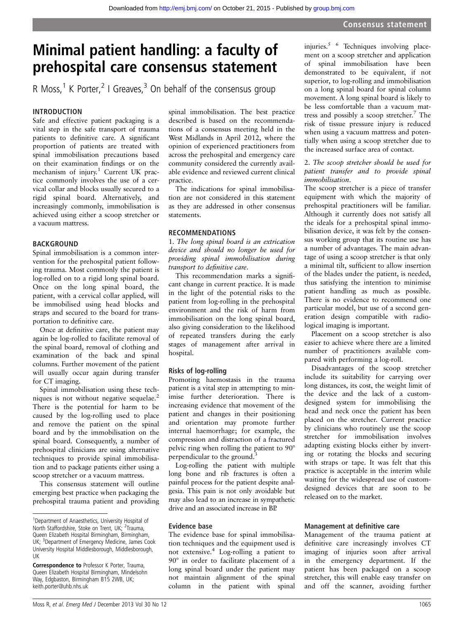# Minimal patient handling: a faculty of prehospital care consensus statement

R Moss,<sup>1</sup> K Porter,<sup>2</sup> I Greaves,<sup>3</sup> On behalf of the consensus group

# INTRODUCTION

Safe and effective patient packaging is a vital step in the safe transport of trauma patients to definitive care. A significant proportion of patients are treated with spinal immobilisation precautions based on their examination findings or on the mechanism of injury.<sup>1</sup> Current UK practice commonly involves the use of a cervical collar and blocks usually secured to a rigid spinal board. Alternatively, and increasingly commonly, immobilisation is achieved using either a scoop stretcher or a vacuum mattress.

# BACKGROUND

Spinal immobilisation is a common intervention for the prehospital patient following trauma. Most commonly the patient is log-rolled on to a rigid long spinal board. Once on the long spinal board, the patient, with a cervical collar applied, will be immobilised using head blocks and straps and secured to the board for transportation to definitive care.

Once at definitive care, the patient may again be log-rolled to facilitate removal of the spinal board, removal of clothing and examination of the back and spinal columns. Further movement of the patient will usually occur again during transfer for CT imaging.

Spinal immobilisation using these techniques is not without negative sequelae.<sup>2</sup> There is the potential for harm to be caused by the log-rolling used to place and remove the patient on the spinal board and by the immobilisation on the spinal board. Consequently, a number of prehospital clinicians are using alternative techniques to provide spinal immobilisation and to package patients either using a scoop stretcher or a vacuum mattress.

This consensus statement will outline emerging best practice when packaging the prehospital trauma patient and providing spinal immobilisation. The best practice described is based on the recommendations of a consensus meeting held in the West Midlands in April 2012, where the opinion of experienced practitioners from across the prehospital and emergency care community considered the currently available evidence and reviewed current clinical practice.

The indications for spinal immobilisation are not considered in this statement as they are addressed in other consensus statements.

# RECOMMENDATIONS

1. The long spinal board is an extrication device and should no longer be used for providing spinal immobilisation during transport to definitive care.

This recommendation marks a significant change in current practice. It is made in the light of the potential risks to the patient from log-rolling in the prehospital environment and the risk of harm from immobilisation on the long spinal board, also giving consideration to the likelihood of repeated transfers during the early stages of management after arrival in hospital.

# Risks of log-rolling

Promoting haemostasis in the trauma patient is a vital step in attempting to minimise further deterioration. There is increasing evidence that movement of the patient and changes in their positioning and orientation may promote further internal haemorrhage; for example, the compression and distraction of a fractured pelvic ring when rolling the patient to 90° perpendicular to the ground.<sup>3</sup>

Log-rolling the patient with multiple long bone and rib fractures is often a painful process for the patient despite analgesia. This pain is not only avoidable but may also lead to an increase in sympathetic drive and an associated increase in BP.

# Evidence base

The evidence base for spinal immobilisation techniques and the equipment used is not extensive.<sup>4</sup> Log-rolling a patient to 90° in order to facilitate placement of a long spinal board under the patient may not maintain alignment of the spinal column in the patient with spinal injuries.<sup>5 6</sup> Techniques involving placement on a scoop stretcher and application of spinal immobilisation have been demonstrated to be equivalent, if not superior, to log-rolling and immobilisation on a long spinal board for spinal column movement. A long spinal board is likely to be less comfortable than a vacuum mattress and possibly a scoop stretcher.<sup>7</sup> The risk of tissue pressure injury is reduced when using a vacuum mattress and potentially when using a scoop stretcher due to the increased surface area of contact.

## 2. The scoop stretcher should be used for patient transfer and to provide spinal immobilisation.

The scoop stretcher is a piece of transfer equipment with which the majority of prehospital practitioners will be familiar. Although it currently does not satisfy all the ideals for a prehospital spinal immobilisation device, it was felt by the consensus working group that its routine use has a number of advantages. The main advantage of using a scoop stretcher is that only a minimal tilt, sufficient to allow insertion of the blades under the patient, is needed, thus satisfying the intention to minimise patient handling as much as possible. There is no evidence to recommend one particular model, but use of a second generation design compatible with radiological imaging is important.

Placement on a scoop stretcher is also easier to achieve where there are a limited number of practitioners available compared with performing a log-roll.

Disadvantages of the scoop stretcher include its suitability for carrying over long distances, its cost, the weight limit of the device and the lack of a customdesigned system for immobilising the head and neck once the patient has been placed on the stretcher. Current practice by clinicians who routinely use the scoop stretcher for immobilisation involves adapting existing blocks either by inverting or rotating the blocks and securing with straps or tape. It was felt that this practice is acceptable in the interim while waiting for the widespread use of customdesigned devices that are soon to be released on to the market.

# Management at definitive care

Management of the trauma patient at definitive care increasingly involves CT imaging of injuries soon after arrival in the emergency department. If the patient has been packaged on a scoop stretcher, this will enable easy transfer on and off the scanner, avoiding further

<sup>&</sup>lt;sup>1</sup>Department of Anaesthetics, University Hospital of North Staffordshire, Stoke on Trent, UK; <sup>2</sup>Trauma, Queen Elizabeth Hospital Birmingham, Birmingham, UK; <sup>3</sup>Department of Emergency Medicine, James Cook University Hospital Middlesborough, Middlesborough, UK

Correspondence to Professor K Porter, Trauma, Queen Elizabeth Hospital Birmingham, Mindelsohn Way, Edgbaston, Birmingham B15 2WB, UK; keith.porter@uhb.nhs.uk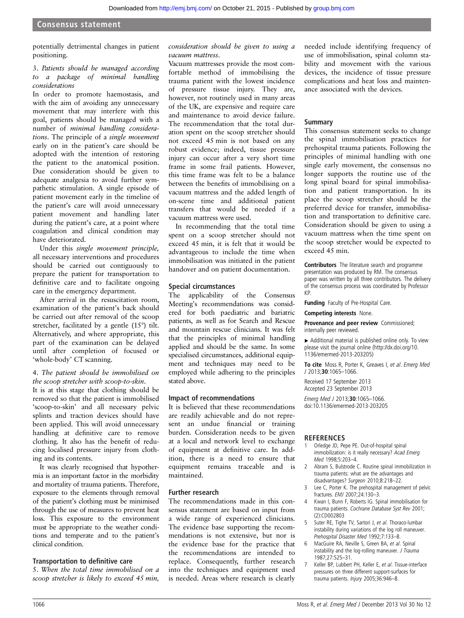#### Consensus statement

potentially detrimental changes in patient positioning.

# 3. Patients should be managed according to a package of minimal handling considerations

In order to promote haemostasis, and with the aim of avoiding any unnecessary movement that may interfere with this goal, patients should be managed with a number of minimal handling considerations. The principle of a single movement early on in the patient's care should be adopted with the intention of restoring the patient to the anatomical position. Due consideration should be given to adequate analgesia to avoid further sympathetic stimulation. A single episode of patient movement early in the timeline of the patient's care will avoid unnecessary patient movement and handling later during the patient's care, at a point where coagulation and clinical condition may have deteriorated.

Under this single movement principle, all necessary interventions and procedures should be carried out contiguously to prepare the patient for transportation to definitive care and to facilitate ongoing care in the emergency department.

After arrival in the resuscitation room, examination of the patient's back should be carried out after removal of the scoop stretcher, facilitated by a gentle (15°) tilt. Alternatively, and where appropriate, this part of the examination can be delayed until after completion of focused or 'whole-body' CT scanning.

#### 4. The patient should be immobilised on the scoop stretcher with scoop-to-skin.

It is at this stage that clothing should be removed so that the patient is immobilised 'scoop-to-skin' and all necessary pelvic splints and traction devices should have been applied. This will avoid unnecessary handling at definitive care to remove clothing. It also has the benefit of reducing localised pressure injury from clothing and its contents.

It was clearly recognised that hypothermia is an important factor in the morbidity and mortality of trauma patients. Therefore, exposure to the elements through removal of the patient's clothing must be minimised through the use of measures to prevent heat loss. This exposure to the environment must be appropriate to the weather conditions and temperate and to the patient's clinical condition.

#### Transportation to definitive care

5. When the total time immobilised on a scoop stretcher is likely to exceed 45 min,

#### consideration should be given to using a vacuum mattress.

Vacuum mattresses provide the most comfortable method of immobilising the trauma patient with the lowest incidence of pressure tissue injury. They are, however, not routinely used in many areas of the UK, are expensive and require care and maintenance to avoid device failure. The recommendation that the total duration spent on the scoop stretcher should not exceed 45 min is not based on any robust evidence; indeed, tissue pressure injury can occur after a very short time frame in some frail patients. However, this time frame was felt to be a balance between the benefits of immobilising on a vacuum mattress and the added length of on-scene time and additional patient transfers that would be needed if a vacuum mattress were used.

In recommending that the total time spent on a scoop stretcher should not exceed 45 min, it is felt that it would be advantageous to include the time when immobilisation was initiated in the patient handover and on patient documentation.

#### Special circumstances

The applicability of the Consensus Meeting's recommendations was considered for both paediatric and bariatric patients, as well as for Search and Rescue and mountain rescue clinicians. It was felt that the principles of minimal handling applied and should be the same. In some specialised circumstances, additional equipment and techniques may need to be employed while adhering to the principles stated above.

#### Impact of recommendations

It is believed that these recommendations are readily achievable and do not represent an undue financial or training burden. Consideration needs to be given at a local and network level to exchange of equipment at definitive care. In addition, there is a need to ensure that equipment remains traceable and is maintained.

#### Further research

The recommendations made in this consensus statement are based on input from a wide range of experienced clinicians. The evidence base supporting the recommendations is not extensive, but nor is the evidence base for the practice that the recommendations are intended to replace. Consequently, further research into the techniques and equipment used is needed. Areas where research is clearly

needed include identifying frequency of use of immobilisation, spinal column stability and movement with the various devices, the incidence of tissue pressure complications and heat loss and maintenance associated with the devices.

#### **Summary**

This consensus statement seeks to change the spinal immobilisation practices for prehospital trauma patients. Following the principles of minimal handling with one single early movement, the consensus no longer supports the routine use of the long spinal board for spinal immobilisation and patient transportation. In its place the scoop stretcher should be the preferred device for transfer, immobilisation and transportation to definitive care. Consideration should be given to using a vacuum mattress when the time spent on the scoop stretcher would be expected to exceed 45 min.

Contributors The literature search and programme presentation was produced by RM. The consensus paper was written by all three contributors. The delivery of the consensus process was coordinated by Professor KP.

Funding Faculty of Pre-Hospital Care.

#### Competing interests None.

Provenance and peer review Commissioned; internally peer reviewed.

▶ Additional material is published online only. To view please visit the journal online [\(http://dx.doi.org/10.](http://dx.doi.org/10.1136/emermed-2013-203205) [1136/emermed-2013-203205\)](http://dx.doi.org/10.1136/emermed-2013-203205)

To cite Moss R, Porter K, Greaves I, et al. Emerg Med J 2013;30:1065–1066.

Received 17 September 2013 Accepted 23 September 2013

Emerg Med J 2013;30:1065-1066. doi:10.1136/emermed-2013-203205

#### **REFERENCES**

- 1 Orledge JD, Pepe PE, Out-of-hospital spinal immobilization: is it really necessary? Acad Emerg Med 1998;5:203–4.
- 2 Abram S, Bulstrode C. Routine spinal immobilization in trauma patients: what are the advantages and disadvantages? Surgeon 2010;8:218–22.
- 3 Lee C, Porter K. The prehospital management of pelvic fractures. EMJ 2007;24:130–3.
- 4 Kwan I, Bunn F, Roberts IG. Spinal immobilisation for trauma patients. Cochrane Database Syst Rev 2001; (2):CD002803
- 5 Suter RE, Tighe TV, Sartori J, et al. Thoraco-lumbar instability during variations of the log roll maneuver. Prehospital Disaster Med 1992;7:133–8.
- 6 MacGuire RA, Neville S, Green BA, et al. Spinal instability and the log-rolling maneuver.  $J$  Trauma 1987;27:525–31.
- 7 Keller BP, Lubbert PH, Keller E, et al. Tissue-interface pressures on three different support-surfaces for trauma patients. Injury 2005;36:946–8.